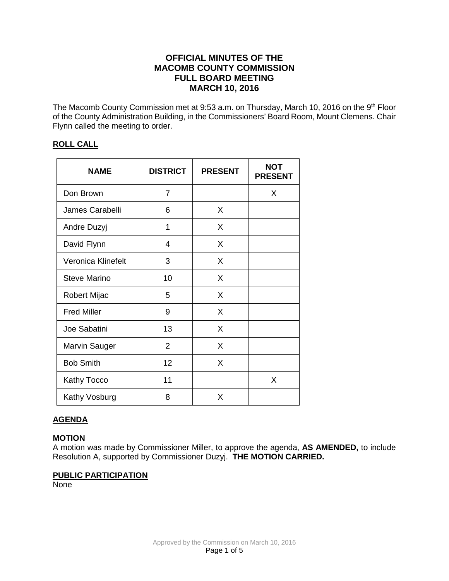# **OFFICIAL MINUTES OF THE MACOMB COUNTY COMMISSION FULL BOARD MEETING MARCH 10, 2016**

The Macomb County Commission met at 9:53 a.m. on Thursday, March 10, 2016 on the 9<sup>th</sup> Floor of the County Administration Building, in the Commissioners' Board Room, Mount Clemens. Chair Flynn called the meeting to order.

## **ROLL CALL**

| <b>NAME</b>          | <b>DISTRICT</b> | <b>PRESENT</b> | <b>NOT</b><br><b>PRESENT</b> |
|----------------------|-----------------|----------------|------------------------------|
| Don Brown            | 7               |                | X                            |
| James Carabelli      | 6               | X              |                              |
| Andre Duzyj          | 1               | X              |                              |
| David Flynn          | 4               | X              |                              |
| Veronica Klinefelt   | 3               | X              |                              |
| Steve Marino         | 10              | X              |                              |
| Robert Mijac         | 5               | X              |                              |
| <b>Fred Miller</b>   | 9               | X              |                              |
| Joe Sabatini         | 13              | X              |                              |
| <b>Marvin Sauger</b> | $\overline{2}$  | X              |                              |
| <b>Bob Smith</b>     | 12              | X              |                              |
| Kathy Tocco          | 11              |                | X                            |
| Kathy Vosburg        | 8               | X              |                              |

## **AGENDA**

## **MOTION**

A motion was made by Commissioner Miller, to approve the agenda, **AS AMENDED,** to include Resolution A, supported by Commissioner Duzyj. **THE MOTION CARRIED.**

## **PUBLIC PARTICIPATION**

None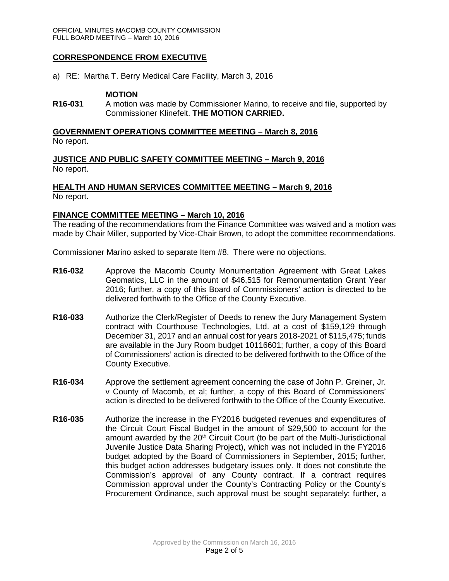## **CORRESPONDENCE FROM EXECUTIVE**

a) RE: Martha T. Berry Medical Care Facility, March 3, 2016

#### **MOTION**

**R16-031** A motion was made by Commissioner Marino, to receive and file, supported by Commissioner Klinefelt. **THE MOTION CARRIED.**

#### **GOVERNMENT OPERATIONS COMMITTEE MEETING – March 8, 2016** No report.

**JUSTICE AND PUBLIC SAFETY COMMITTEE MEETING – March 9, 2016** No report.

### **HEALTH AND HUMAN SERVICES COMMITTEE MEETING – March 9, 2016** No report.

#### **FINANCE COMMITTEE MEETING – March 10, 2016**

The reading of the recommendations from the Finance Committee was waived and a motion was made by Chair Miller, supported by Vice-Chair Brown, to adopt the committee recommendations.

Commissioner Marino asked to separate Item #8. There were no objections.

- **R16-032** Approve the Macomb County Monumentation Agreement with Great Lakes Geomatics, LLC in the amount of \$46,515 for Remonumentation Grant Year 2016; further, a copy of this Board of Commissioners' action is directed to be delivered forthwith to the Office of the County Executive.
- **R16-033** Authorize the Clerk/Register of Deeds to renew the Jury Management System contract with Courthouse Technologies, Ltd. at a cost of \$159,129 through December 31, 2017 and an annual cost for years 2018-2021 of \$115,475; funds are available in the Jury Room budget 10116601; further, a copy of this Board of Commissioners' action is directed to be delivered forthwith to the Office of the County Executive.
- **R16-034** Approve the settlement agreement concerning the case of John P. Greiner, Jr. v County of Macomb, et al; further, a copy of this Board of Commissioners' action is directed to be delivered forthwith to the Office of the County Executive.
- **R16-035** Authorize the increase in the FY2016 budgeted revenues and expenditures of the Circuit Court Fiscal Budget in the amount of \$29,500 to account for the amount awarded by the  $20<sup>th</sup>$  Circuit Court (to be part of the Multi-Jurisdictional Juvenile Justice Data Sharing Project), which was not included in the FY2016 budget adopted by the Board of Commissioners in September, 2015; further, this budget action addresses budgetary issues only. It does not constitute the Commission's approval of any County contract. If a contract requires Commission approval under the County's Contracting Policy or the County's Procurement Ordinance, such approval must be sought separately; further, a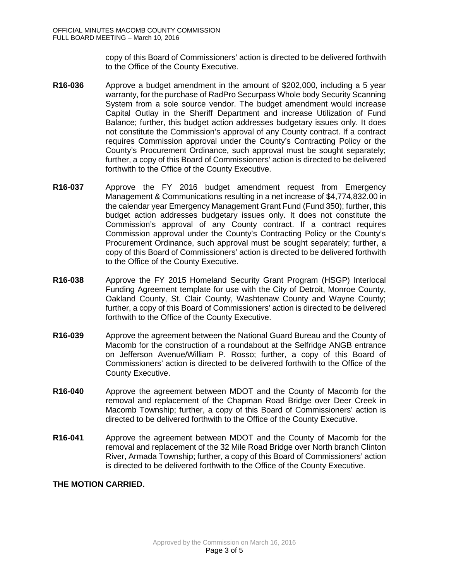copy of this Board of Commissioners' action is directed to be delivered forthwith to the Office of the County Executive.

- **R16-036** Approve a budget amendment in the amount of \$202,000, including a 5 year warranty, for the purchase of RadPro Securpass Whole body Security Scanning System from a sole source vendor. The budget amendment would increase Capital Outlay in the Sheriff Department and increase Utilization of Fund Balance; further, this budget action addresses budgetary issues only. It does not constitute the Commission's approval of any County contract. If a contract requires Commission approval under the County's Contracting Policy or the County's Procurement Ordinance, such approval must be sought separately; further, a copy of this Board of Commissioners' action is directed to be delivered forthwith to the Office of the County Executive.
- **R16-037** Approve the FY 2016 budget amendment request from Emergency Management & Communications resulting in a net increase of \$4,774,832.00 in the calendar year Emergency Management Grant Fund (Fund 350); further, this budget action addresses budgetary issues only. It does not constitute the Commission's approval of any County contract. If a contract requires Commission approval under the County's Contracting Policy or the County's Procurement Ordinance, such approval must be sought separately; further, a copy of this Board of Commissioners' action is directed to be delivered forthwith to the Office of the County Executive.
- **R16-038** Approve the FY 2015 Homeland Security Grant Program (HSGP) lnterlocal Funding Agreement template for use with the City of Detroit, Monroe County, Oakland County, St. Clair County, Washtenaw County and Wayne County; further, a copy of this Board of Commissioners' action is directed to be delivered forthwith to the Office of the County Executive.
- **R16-039** Approve the agreement between the National Guard Bureau and the County of Macomb for the construction of a roundabout at the Selfridge ANGB entrance on Jefferson Avenue/William P. Rosso; further, a copy of this Board of Commissioners' action is directed to be delivered forthwith to the Office of the County Executive.
- **R16-040** Approve the agreement between MDOT and the County of Macomb for the removal and replacement of the Chapman Road Bridge over Deer Creek in Macomb Township; further, a copy of this Board of Commissioners' action is directed to be delivered forthwith to the Office of the County Executive.
- **R16-041** Approve the agreement between MDOT and the County of Macomb for the removal and replacement of the 32 Mile Road Bridge over North branch Clinton River, Armada Township; further, a copy of this Board of Commissioners' action is directed to be delivered forthwith to the Office of the County Executive.

## **THE MOTION CARRIED.**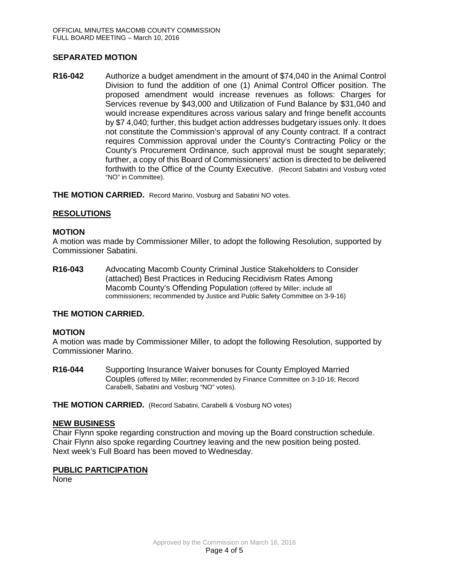## **SEPARATED MOTION**

**R16-042** Authorize a budget amendment in the amount of \$74,040 in the Animal Control Division to fund the addition of one (1) Animal Control Officer position. The proposed amendment would increase revenues as follows: Charges for Services revenue by \$43,000 and Utilization of Fund Balance by \$31,040 and would increase expenditures across various salary and fringe benefit accounts by \$7 4,040; further, this budget action addresses budgetary issues only. It does not constitute the Commission's approval of any County contract. If a contract requires Commission approval under the County's Contracting Policy or the County's Procurement Ordinance, such approval must be sought separately; further, a copy of this Board of Commissioners' action is directed to be delivered forthwith to the Office of the County Executive. (Record Sabatini and Vosburg voted "NO" in Committee).

**THE MOTION CARRIED.** Record Marino, Vosburg and Sabatini NO votes.

#### **RESOLUTIONS**

#### **MOTION**

A motion was made by Commissioner Miller, to adopt the following Resolution, supported by Commissioner Sabatini.

**R16-043** Advocating Macomb County Criminal Justice Stakeholders to Consider (attached) Best Practices in Reducing Recidivism Rates Among Macomb County's Offending Population (offered by Miller; include all commissioners; recommended by Justice and Public Safety Committee on 3-9-16)

#### **THE MOTION CARRIED.**

#### **MOTION**

A motion was made by Commissioner Miller, to adopt the following Resolution, supported by Commissioner Marino.

**R16-044** Supporting Insurance Waiver bonuses for County Employed Married Couples (offered by Miller; recommended by Finance Committee on 3-10-16; Record Carabelli, Sabatini and Vosburg "NO" votes).

**THE MOTION CARRIED.** (Record Sabatini, Carabelli & Vosburg NO votes)

#### **NEW BUSINESS**

Chair Flynn spoke regarding construction and moving up the Board construction schedule. Chair Flynn also spoke regarding Courtney leaving and the new position being posted. Next week's Full Board has been moved to Wednesday.

#### **PUBLIC PARTICIPATION**

None